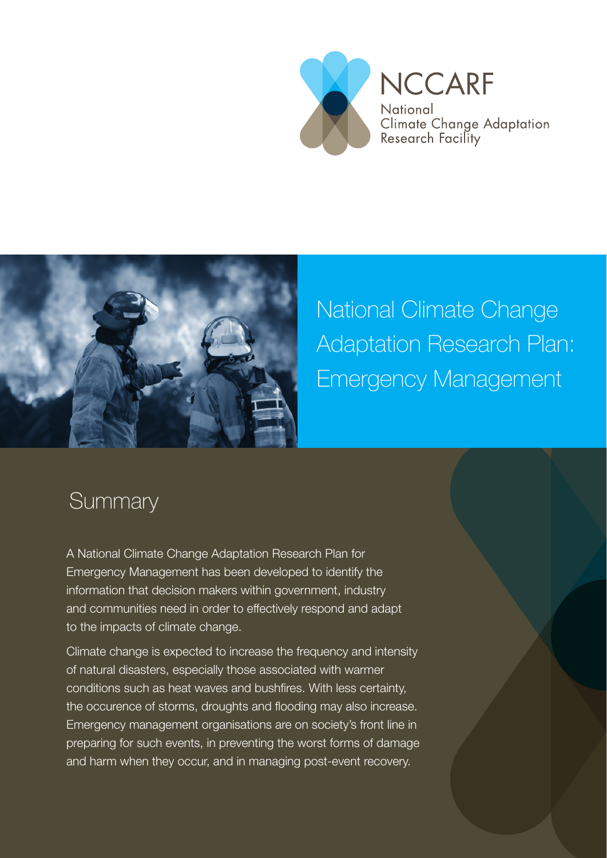



National Climate Change Adaptation Research Plan: Emergency Management

## **Summary**

A National Climate Change Adaptation Research Plan for Emergency Management has been developed to identify the information that decision makers within government, industry and communities need in order to effectively respond and adapt to the impacts of climate change.

Climate change is expected to increase the frequency and intensity of natural disasters, especially those associated with warmer conditions such as heat waves and bushfires. With less certainty, the occurence of storms, droughts and flooding may also increase. Emergency management organisations are on society's front line in preparing for such events, in preventing the worst forms of damage and harm when they occur, and in managing post-event recovery.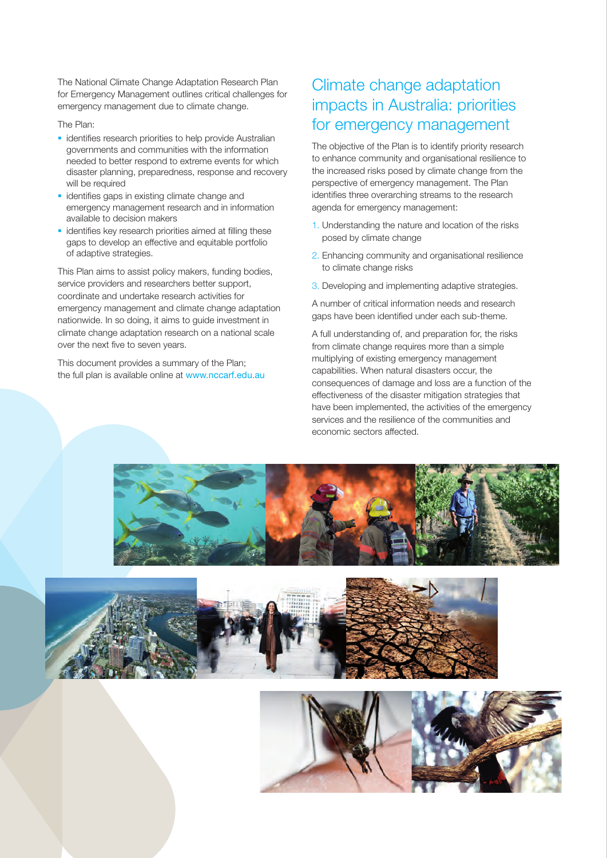The National Climate Change Adaptation Research Plan for Emergency Management outlines critical challenges for emergency management due to climate change.

The Plan:

- **i** identifies research priorities to help provide Australian governments and communities with the information needed to better respond to extreme events for which disaster planning, preparedness, response and recovery will be required
- $\blacksquare$  identifies gaps in existing climate change and emergency management research and in information available to decision makers
- $\blacksquare$  identifies key research priorities aimed at filling these gaps to develop an effective and equitable portfolio of adaptive strategies.

This Plan aims to assist policy makers, funding bodies, service providers and researchers better support, coordinate and undertake research activities for emergency management and climate change adaptation nationwide. In so doing, it aims to guide investment in climate change adaptation research on a national scale over the next five to seven years.

This document provides a summary of the Plan; the full plan is available online at www.nccarf.edu.au

### Climate change adaptation impacts in Australia: priorities for emergency management

The objective of the Plan is to identify priority research to enhance community and organisational resilience to the increased risks posed by climate change from the perspective of emergency management. The Plan identifies three overarching streams to the research agenda for emergency management:

- 1. Understanding the nature and location of the risks posed by climate change
- 2. Enhancing community and organisational resilience to climate change risks
- 3. Developing and implementing adaptive strategies.

A number of critical information needs and research gaps have been identified under each sub-theme.

A full understanding of, and preparation for, the risks from climate change requires more than a simple multiplying of existing emergency management capabilities. When natural disasters occur, the consequences of damage and loss are a function of the effectiveness of the disaster mitigation strategies that have been implemented, the activities of the emergency services and the resilience of the communities and economic sectors affected.





![](_page_1_Picture_16.jpeg)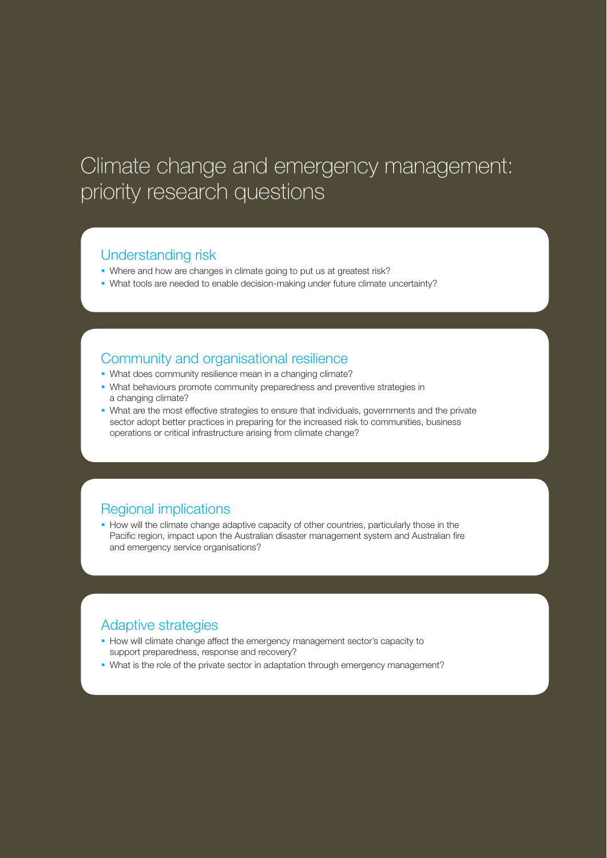# Climate change and emergency management: priority research questions

#### Understanding risk

- Where and how are changes in climate going to put us at greatest risk?
- What tools are needed to enable decision-making under future climate uncertainty?

#### Community and organisational resilience

- What does community resilience mean in a changing climate?
- What behaviours promote community preparedness and preventive strategies in a changing climate?
- What are the most effective strategies to ensure that individuals, governments and the private sector adopt better practices in preparing for the increased risk to communities, business operations or critical infrastructure arising from climate change?

#### Regional implications

How will the climate change adaptive capacity of other countries, particularly those in the Pacific region, impact upon the Australian disaster management system and Australian fire and emergency service organisations?

#### Adaptive strategies

- How will climate change affect the emergency management sector's capacity to support preparedness, response and recovery?
- What is the role of the private sector in adaptation through emergency management?